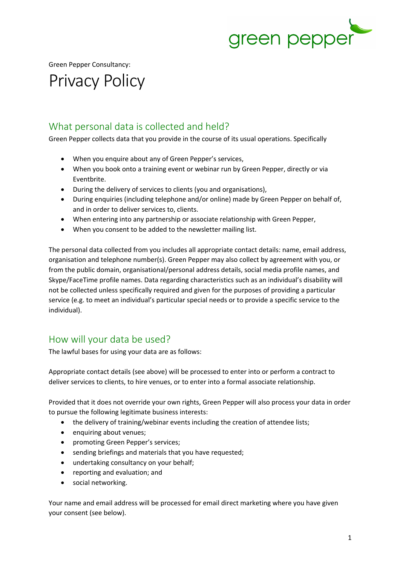

Green Pepper Consultancy:

# Privacy Policy

#### What personal data is collected and held?

Green Pepper collects data that you provide in the course of its usual operations. Specifically

- When you enquire about any of Green Pepper's services,
- When you book onto a training event or webinar run by Green Pepper, directly or via Eventbrite.
- During the delivery of services to clients (you and organisations),
- During enquiries (including telephone and/or online) made by Green Pepper on behalf of, and in order to deliver services to, clients.
- When entering into any partnership or associate relationship with Green Pepper,
- When you consent to be added to the newsletter mailing list.

The personal data collected from you includes all appropriate contact details: name, email address, organisation and telephone number(s). Green Pepper may also collect by agreement with you, or from the public domain, organisational/personal address details, social media profile names, and Skype/FaceTime profile names. Data regarding characteristics such as an individual's disability will not be collected unless specifically required and given for the purposes of providing a particular service (e.g. to meet an individual's particular special needs or to provide a specific service to the individual).

# How will your data be used?

The lawful bases for using your data are as follows:

Appropriate contact details (see above) will be processed to enter into or perform a contract to deliver services to clients, to hire venues, or to enter into a formal associate relationship.

Provided that it does not override your own rights, Green Pepper will also process your data in order to pursue the following legitimate business interests:

- the delivery of training/webinar events including the creation of attendee lists;
- enquiring about venues;
- promoting Green Pepper's services;
- sending briefings and materials that you have requested;
- undertaking consultancy on your behalf;
- reporting and evaluation; and
- social networking.

Your name and email address will be processed for email direct marketing where you have given your consent (see below).